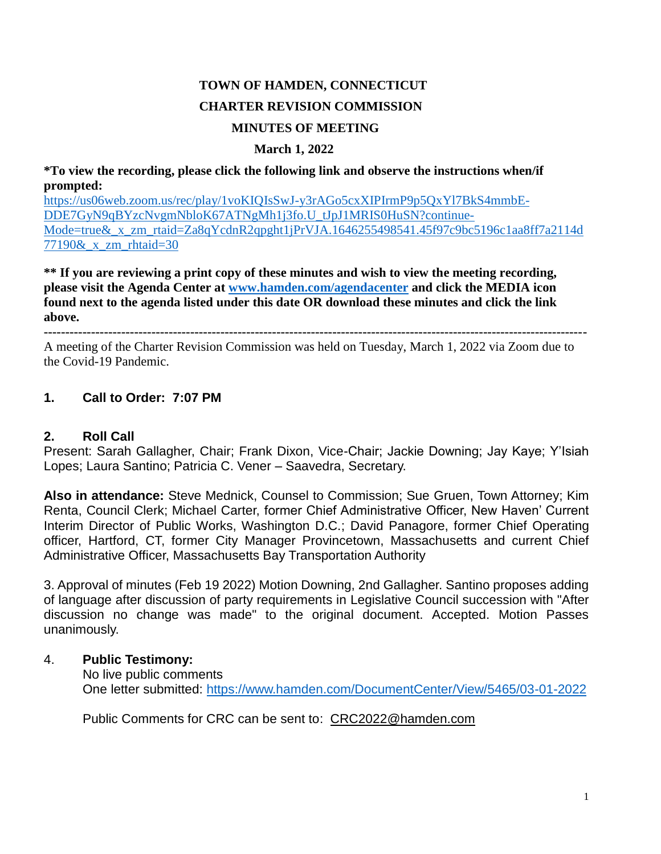# **TOWN OF HAMDEN, CONNECTICUT CHARTER REVISION COMMISSION MINUTES OF MEETING**

#### **March 1, 2022**

**\*To view the recording, please click the following link and observe the instructions when/if prompted:**

[https://us06web.zoom.us/rec/play/1voKIQIsSwJ-y3rAGo5cxXIPIrmP9p5QxYl7BkS4mmbE-](https://us06web.zoom.us/rec/play/1voKIQIsSwJ-y3rAGo5cxXIPIrmP9p5QxYl7BkS4mmbE-DDE7GyN9qBYzcNvgmNbloK67ATNgMh1j3fo.U_tJpJ1MRIS0HuSN?continueMode=true&_x_zm_rtaid=Za8qYcdnR2qpght1jPrVJA.1646255498541.45f97c9bc5196c1aa8ff7a2114d77190&_x_zm_rhtaid=30)[DDE7GyN9qBYzcNvgmNbloK67ATNgMh1j3fo.U\\_tJpJ1MRIS0HuSN?continue-](https://us06web.zoom.us/rec/play/1voKIQIsSwJ-y3rAGo5cxXIPIrmP9p5QxYl7BkS4mmbE-DDE7GyN9qBYzcNvgmNbloK67ATNgMh1j3fo.U_tJpJ1MRIS0HuSN?continueMode=true&_x_zm_rtaid=Za8qYcdnR2qpght1jPrVJA.1646255498541.45f97c9bc5196c1aa8ff7a2114d77190&_x_zm_rhtaid=30)Mode=true&<sub>x</sub>\_zm\_rtaid=Za8qYcdnR2qpght1jPrVJA.1646255498541.45f97c9bc5196c1aa8ff7a2114d [77190&\\_x\\_zm\\_rhtaid=30](https://us06web.zoom.us/rec/play/1voKIQIsSwJ-y3rAGo5cxXIPIrmP9p5QxYl7BkS4mmbE-DDE7GyN9qBYzcNvgmNbloK67ATNgMh1j3fo.U_tJpJ1MRIS0HuSN?continueMode=true&_x_zm_rtaid=Za8qYcdnR2qpght1jPrVJA.1646255498541.45f97c9bc5196c1aa8ff7a2114d77190&_x_zm_rhtaid=30)

**\*\* If you are reviewing a print copy of these minutes and wish to view the meeting recording, please visit the Agenda Center at [www.hamden.com/agendacenter](http://www.hamden.com/agendacenter) and click the MEDIA icon found next to the agenda listed under this date OR download these minutes and click the link above.**

**------------------------------------------------------------------------------------------------------------------------------**

A meeting of the Charter Revision Commission was held on Tuesday, March 1, 2022 via Zoom due to the Covid-19 Pandemic.

## **1. Call to Order: 7:07 PM**

## **2. Roll Call**

Present: Sarah Gallagher, Chair; Frank Dixon, Vice-Chair; Jackie Downing; Jay Kaye; Y'Isiah Lopes; Laura Santino; Patricia C. Vener – Saavedra, Secretary.

**Also in attendance:** Steve Mednick, Counsel to Commission; Sue Gruen, Town Attorney; Kim Renta, Council Clerk; Michael Carter, former Chief Administrative Officer, New Haven' Current Interim Director of Public Works, Washington D.C.; David Panagore, former Chief Operating officer, Hartford, CT, former City Manager Provincetown, Massachusetts and current Chief Administrative Officer, Massachusetts Bay Transportation Authority

3. Approval of minutes (Feb 19 2022) Motion Downing, 2nd Gallagher. Santino proposes adding of language after discussion of party requirements in Legislative Council succession with "After discussion no change was made" to the original document. Accepted. Motion Passes unanimously.

#### 4. **Public Testimony:**

No live public comments One letter submitted:<https://www.hamden.com/DocumentCenter/View/5465/03-01-2022>

Public Comments for CRC can be sent to: [CRC2022@hamden.com](mailto:CRC2022@hamden.com)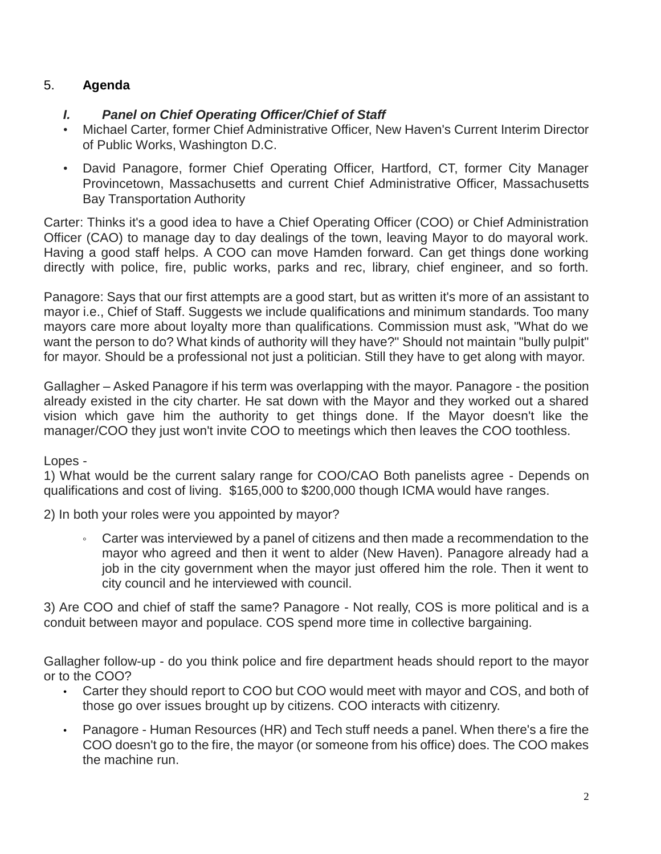# 5. **Agenda**

## *I. Panel on Chief Operating Officer/Chief of Staff*

- Michael Carter, former Chief Administrative Officer, New Haven's Current Interim Director of Public Works, Washington D.C.
- David Panagore, former Chief Operating Officer, Hartford, CT, former City Manager Provincetown, Massachusetts and current Chief Administrative Officer, Massachusetts Bay Transportation Authority

Carter: Thinks it's a good idea to have a Chief Operating Officer (COO) or Chief Administration Officer (CAO) to manage day to day dealings of the town, leaving Mayor to do mayoral work. Having a good staff helps. A COO can move Hamden forward. Can get things done working directly with police, fire, public works, parks and rec, library, chief engineer, and so forth.

Panagore: Says that our first attempts are a good start, but as written it's more of an assistant to mayor i.e., Chief of Staff. Suggests we include qualifications and minimum standards. Too many mayors care more about loyalty more than qualifications. Commission must ask, "What do we want the person to do? What kinds of authority will they have?" Should not maintain "bully pulpit" for mayor. Should be a professional not just a politician. Still they have to get along with mayor.

Gallagher – Asked Panagore if his term was overlapping with the mayor. Panagore - the position already existed in the city charter. He sat down with the Mayor and they worked out a shared vision which gave him the authority to get things done. If the Mayor doesn't like the manager/COO they just won't invite COO to meetings which then leaves the COO toothless.

Lopes -

1) What would be the current salary range for COO/CAO Both panelists agree - Depends on qualifications and cost of living. \$165,000 to \$200,000 though ICMA would have ranges.

2) In both your roles were you appointed by mayor?

Carter was interviewed by a panel of citizens and then made a recommendation to the mayor who agreed and then it went to alder (New Haven). Panagore already had a job in the city government when the mayor just offered him the role. Then it went to city council and he interviewed with council.

3) Are COO and chief of staff the same? Panagore - Not really, COS is more political and is a conduit between mayor and populace. COS spend more time in collective bargaining.

Gallagher follow-up - do you think police and fire department heads should report to the mayor or to the COO?

- Carter they should report to COO but COO would meet with mayor and COS, and both of those go over issues brought up by citizens. COO interacts with citizenry.
- Panagore Human Resources (HR) and Tech stuff needs a panel. When there's a fire the COO doesn't go to the fire, the mayor (or someone from his office) does. The COO makes the machine run.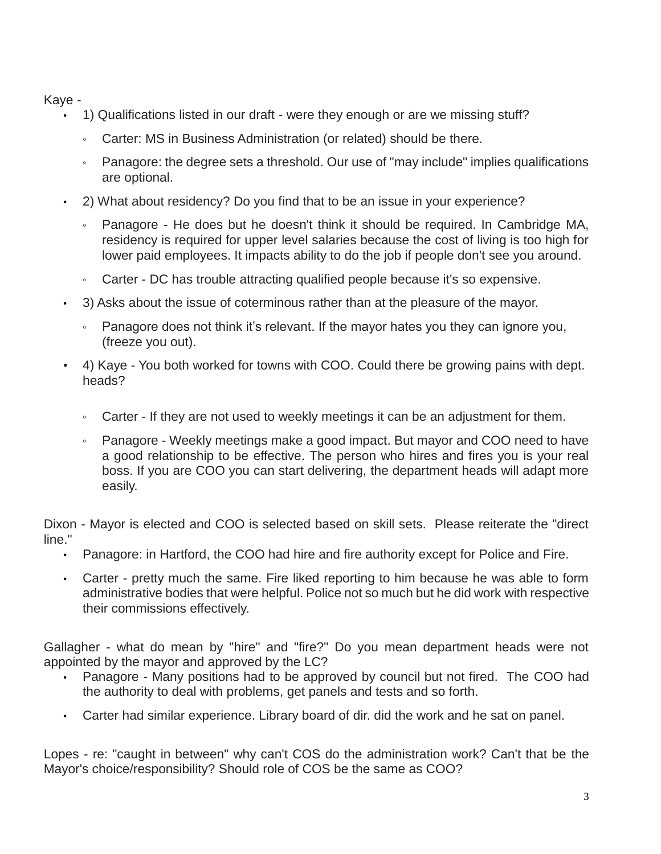Kaye -

- 1) Qualifications listed in our draft were they enough or are we missing stuff?
	- Carter: MS in Business Administration (or related) should be there.
	- Panagore: the degree sets a threshold. Our use of "may include" implies qualifications are optional.
- 2) What about residency? Do you find that to be an issue in your experience?
	- Panagore He does but he doesn't think it should be required. In Cambridge MA, residency is required for upper level salaries because the cost of living is too high for lower paid employees. It impacts ability to do the job if people don't see you around.
	- Carter DC has trouble attracting qualified people because it's so expensive.
- 3) Asks about the issue of coterminous rather than at the pleasure of the mayor.
	- Panagore does not think it's relevant. If the mayor hates you they can ignore you, (freeze you out).
- 4) Kaye You both worked for towns with COO. Could there be growing pains with dept. heads?
	- Carter If they are not used to weekly meetings it can be an adjustment for them.
	- Panagore Weekly meetings make a good impact. But mayor and COO need to have a good relationship to be effective. The person who hires and fires you is your real boss. If you are COO you can start delivering, the department heads will adapt more easily.

Dixon - Mayor is elected and COO is selected based on skill sets. Please reiterate the "direct line."

- Panagore: in Hartford, the COO had hire and fire authority except for Police and Fire.
- Carter pretty much the same. Fire liked reporting to him because he was able to form administrative bodies that were helpful. Police not so much but he did work with respective their commissions effectively.

Gallagher - what do mean by "hire" and "fire?" Do you mean department heads were not appointed by the mayor and approved by the LC?

- Panagore Many positions had to be approved by council but not fired. The COO had the authority to deal with problems, get panels and tests and so forth.
- Carter had similar experience. Library board of dir. did the work and he sat on panel.

Lopes - re: "caught in between" why can't COS do the administration work? Can't that be the Mayor's choice/responsibility? Should role of COS be the same as COO?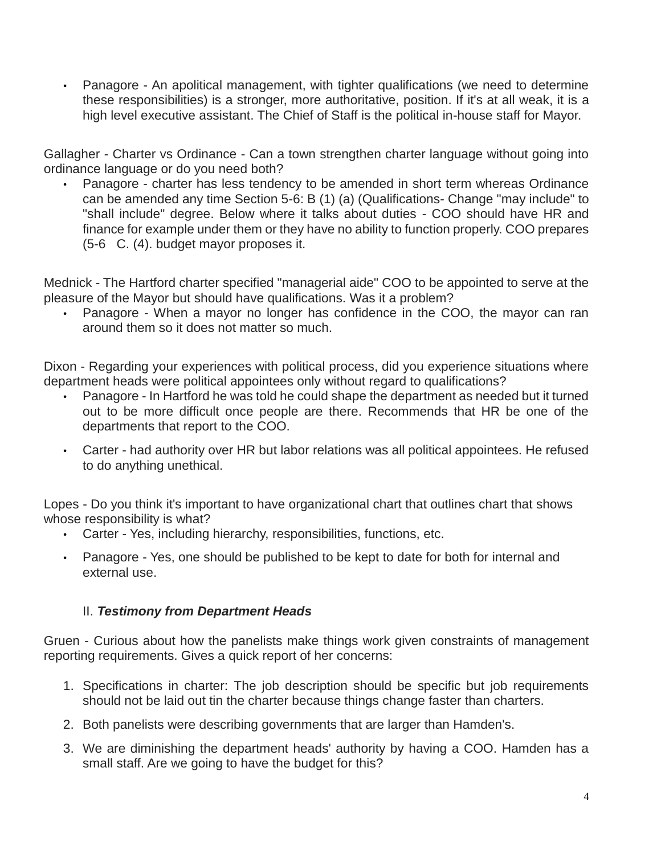• Panagore - An apolitical management, with tighter qualifications (we need to determine these responsibilities) is a stronger, more authoritative, position. If it's at all weak, it is a high level executive assistant. The Chief of Staff is the political in-house staff for Mayor.

Gallagher - Charter vs Ordinance - Can a town strengthen charter language without going into ordinance language or do you need both?

• Panagore - charter has less tendency to be amended in short term whereas Ordinance can be amended any time Section 5-6: B (1) (a) (Qualifications- Change "may include" to "shall include" degree. Below where it talks about duties - COO should have HR and finance for example under them or they have no ability to function properly. COO prepares (5-6 C. (4). budget mayor proposes it.

Mednick - The Hartford charter specified "managerial aide" COO to be appointed to serve at the pleasure of the Mayor but should have qualifications. Was it a problem?

• Panagore - When a mayor no longer has confidence in the COO, the mayor can ran around them so it does not matter so much.

Dixon - Regarding your experiences with political process, did you experience situations where department heads were political appointees only without regard to qualifications?

- Panagore In Hartford he was told he could shape the department as needed but it turned out to be more difficult once people are there. Recommends that HR be one of the departments that report to the COO.
- Carter had authority over HR but labor relations was all political appointees. He refused to do anything unethical.

Lopes - Do you think it's important to have organizational chart that outlines chart that shows whose responsibility is what?

- Carter Yes, including hierarchy, responsibilities, functions, etc.
- Panagore Yes, one should be published to be kept to date for both for internal and external use.

## II. *Testimony from Department Heads*

Gruen - Curious about how the panelists make things work given constraints of management reporting requirements. Gives a quick report of her concerns:

- 1. Specifications in charter: The job description should be specific but job requirements should not be laid out tin the charter because things change faster than charters.
- 2. Both panelists were describing governments that are larger than Hamden's.
- 3. We are diminishing the department heads' authority by having a COO. Hamden has a small staff. Are we going to have the budget for this?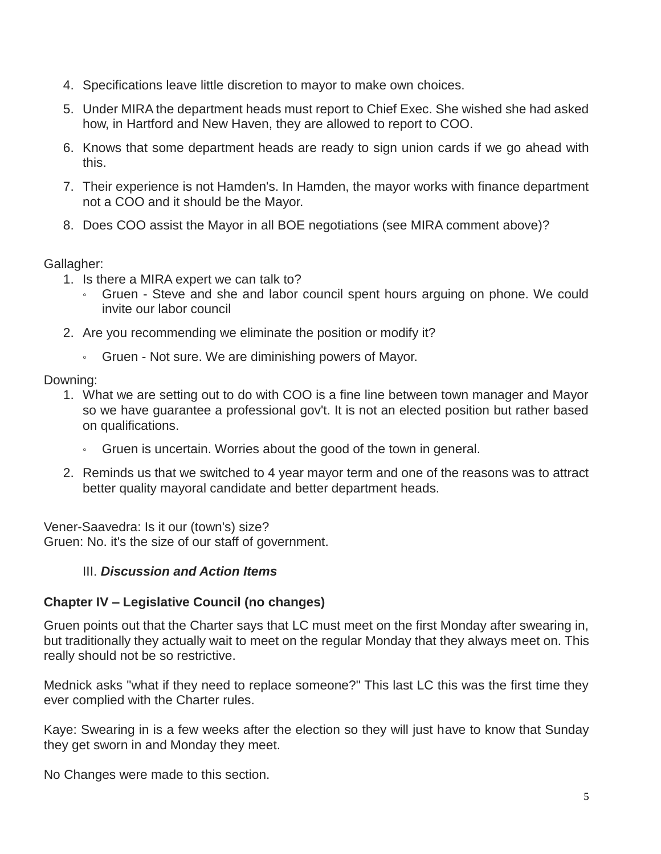- 4. Specifications leave little discretion to mayor to make own choices.
- 5. Under MIRA the department heads must report to Chief Exec. She wished she had asked how, in Hartford and New Haven, they are allowed to report to COO.
- 6. Knows that some department heads are ready to sign union cards if we go ahead with this.
- 7. Their experience is not Hamden's. In Hamden, the mayor works with finance department not a COO and it should be the Mayor.
- 8. Does COO assist the Mayor in all BOE negotiations (see MIRA comment above)?

## Gallagher:

- 1. Is there a MIRA expert we can talk to?
	- Gruen Steve and she and labor council spent hours arguing on phone. We could invite our labor council
- 2. Are you recommending we eliminate the position or modify it?
	- Gruen Not sure. We are diminishing powers of Mayor.

## Downing:

- 1. What we are setting out to do with COO is a fine line between town manager and Mayor so we have guarantee a professional gov't. It is not an elected position but rather based on qualifications.
	- Gruen is uncertain. Worries about the good of the town in general.
- 2. Reminds us that we switched to 4 year mayor term and one of the reasons was to attract better quality mayoral candidate and better department heads.

Vener-Saavedra: Is it our (town's) size? Gruen: No. it's the size of our staff of government.

## III. *Discussion and Action Items*

## **Chapter IV – Legislative Council (no changes)**

Gruen points out that the Charter says that LC must meet on the first Monday after swearing in, but traditionally they actually wait to meet on the regular Monday that they always meet on. This really should not be so restrictive.

Mednick asks "what if they need to replace someone?" This last LC this was the first time they ever complied with the Charter rules.

Kaye: Swearing in is a few weeks after the election so they will just have to know that Sunday they get sworn in and Monday they meet.

No Changes were made to this section.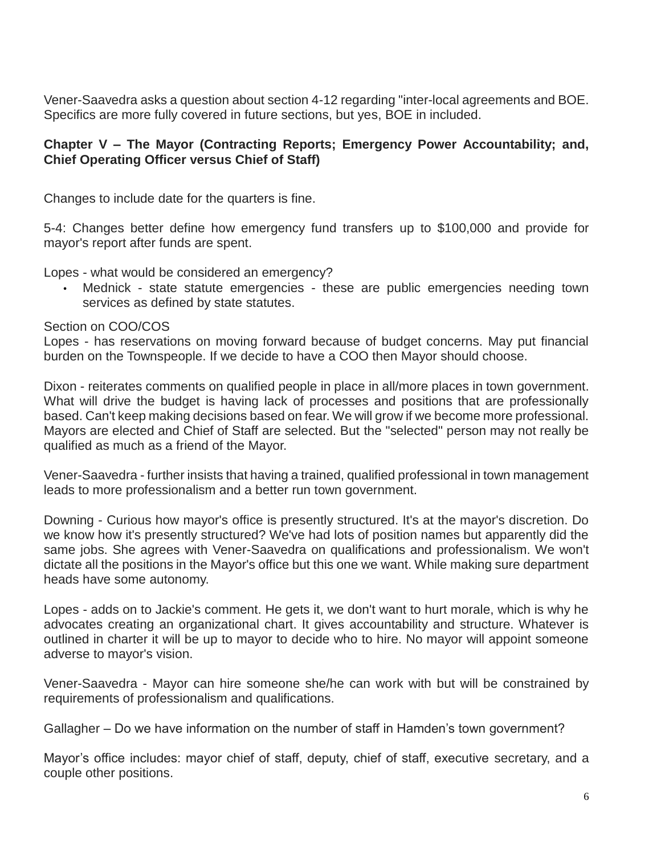Vener-Saavedra asks a question about section 4-12 regarding "inter-local agreements and BOE. Specifics are more fully covered in future sections, but yes, BOE in included.

#### **Chapter V – The Mayor (Contracting Reports; Emergency Power Accountability; and, Chief Operating Officer versus Chief of Staff)**

Changes to include date for the quarters is fine.

5-4: Changes better define how emergency fund transfers up to \$100,000 and provide for mayor's report after funds are spent.

Lopes - what would be considered an emergency?

Mednick - state statute emergencies - these are public emergencies needing town services as defined by state statutes.

Section on COO/COS

Lopes - has reservations on moving forward because of budget concerns. May put financial burden on the Townspeople. If we decide to have a COO then Mayor should choose.

Dixon - reiterates comments on qualified people in place in all/more places in town government. What will drive the budget is having lack of processes and positions that are professionally based. Can't keep making decisions based on fear. We will grow if we become more professional. Mayors are elected and Chief of Staff are selected. But the "selected" person may not really be qualified as much as a friend of the Mayor.

Vener-Saavedra - further insists that having a trained, qualified professional in town management leads to more professionalism and a better run town government.

Downing - Curious how mayor's office is presently structured. It's at the mayor's discretion. Do we know how it's presently structured? We've had lots of position names but apparently did the same jobs. She agrees with Vener-Saavedra on qualifications and professionalism. We won't dictate all the positions in the Mayor's office but this one we want. While making sure department heads have some autonomy.

Lopes - adds on to Jackie's comment. He gets it, we don't want to hurt morale, which is why he advocates creating an organizational chart. It gives accountability and structure. Whatever is outlined in charter it will be up to mayor to decide who to hire. No mayor will appoint someone adverse to mayor's vision.

Vener-Saavedra - Mayor can hire someone she/he can work with but will be constrained by requirements of professionalism and qualifications.

Gallagher – Do we have information on the number of staff in Hamden's town government?

Mayor's office includes: mayor chief of staff, deputy, chief of staff, executive secretary, and a couple other positions.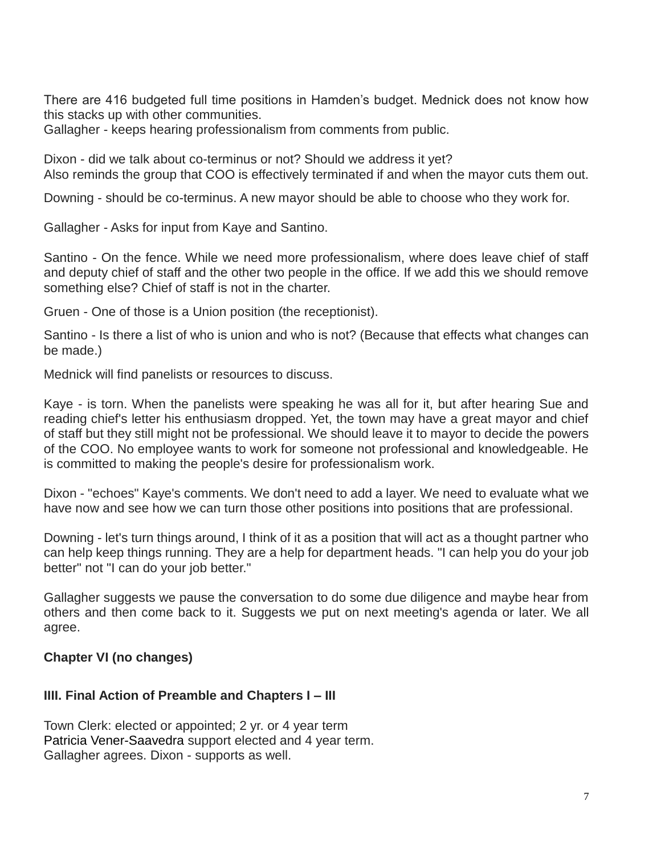There are 416 budgeted full time positions in Hamden's budget. Mednick does not know how this stacks up with other communities.

Gallagher - keeps hearing professionalism from comments from public.

Dixon - did we talk about co-terminus or not? Should we address it yet? Also reminds the group that COO is effectively terminated if and when the mayor cuts them out.

Downing - should be co-terminus. A new mayor should be able to choose who they work for.

Gallagher - Asks for input from Kaye and Santino.

Santino - On the fence. While we need more professionalism, where does leave chief of staff and deputy chief of staff and the other two people in the office. If we add this we should remove something else? Chief of staff is not in the charter.

Gruen - One of those is a Union position (the receptionist).

Santino - Is there a list of who is union and who is not? (Because that effects what changes can be made.)

Mednick will find panelists or resources to discuss.

Kaye - is torn. When the panelists were speaking he was all for it, but after hearing Sue and reading chief's letter his enthusiasm dropped. Yet, the town may have a great mayor and chief of staff but they still might not be professional. We should leave it to mayor to decide the powers of the COO. No employee wants to work for someone not professional and knowledgeable. He is committed to making the people's desire for professionalism work.

Dixon - "echoes" Kaye's comments. We don't need to add a layer. We need to evaluate what we have now and see how we can turn those other positions into positions that are professional.

Downing - let's turn things around, I think of it as a position that will act as a thought partner who can help keep things running. They are a help for department heads. "I can help you do your job better" not "I can do your job better."

Gallagher suggests we pause the conversation to do some due diligence and maybe hear from others and then come back to it. Suggests we put on next meeting's agenda or later. We all agree.

#### **Chapter VI (no changes)**

#### **IIII. Final Action of Preamble and Chapters I – III**

Town Clerk: elected or appointed; 2 yr. or 4 year term Patricia Vener-Saavedra support elected and 4 year term. Gallagher agrees. Dixon - supports as well.